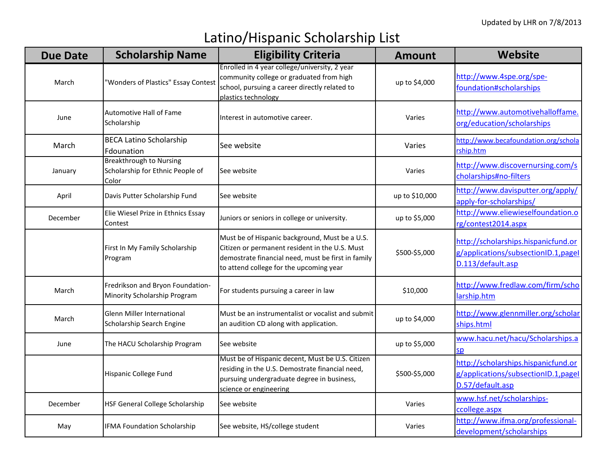## Latino/Hispanic Scholarship List

| <b>Due Date</b> | <b>Scholarship Name</b>                                                     | <b>Eligibility Criteria</b>                                                                                                                                                                       | <b>Amount</b>  | <b>Website</b>                                                                                   |
|-----------------|-----------------------------------------------------------------------------|---------------------------------------------------------------------------------------------------------------------------------------------------------------------------------------------------|----------------|--------------------------------------------------------------------------------------------------|
| March           | "Wonders of Plastics" Essay Contest                                         | Enrolled in 4 year college/university, 2 year<br>community college or graduated from high<br>school, pursuing a career directly related to<br>plastics technology                                 | up to \$4,000  | http://www.4spe.org/spe-<br>foundation#scholarships                                              |
| June            | <b>Automotive Hall of Fame</b><br>Scholarship                               | Interest in automotive career.                                                                                                                                                                    | Varies         | http://www.automotivehalloffame.<br>org/education/scholarships                                   |
| March           | <b>BECA Latino Scholarship</b><br>Fdounation                                | See website                                                                                                                                                                                       | Varies         | http://www.becafoundation.org/schola<br>rship.htm                                                |
| January         | <b>Breakthrough to Nursing</b><br>Scholarship for Ethnic People of<br>Color | See website                                                                                                                                                                                       | Varies         | http://www.discovernursing.com/s<br>cholarships#no-filters                                       |
| April           | Davis Putter Scholarship Fund                                               | See website                                                                                                                                                                                       | up to \$10,000 | http://www.davisputter.org/apply/<br>apply-for-scholarships/                                     |
| December        | Elie Wiesel Prize in Ethnics Essay<br>Contest                               | Juniors or seniors in college or university.                                                                                                                                                      | up to \$5,000  | http://www.eliewieselfoundation.o<br>rg/contest2014.aspx                                         |
|                 | First In My Family Scholarship<br>Program                                   | Must be of Hispanic background, Must be a U.S.<br>Citizen or permanent resident in the U.S. Must<br>demostrate financial need, must be first in family<br>to attend college for the upcoming year | \$500-\$5,000  | http://scholarships.hispanicfund.or<br>g/applications/subsectionID.1, pagel<br>D.113/default.asp |
| March           | Fredrikson and Bryon Foundation-<br>Minority Scholarship Program            | For students pursuing a career in law                                                                                                                                                             | \$10,000       | http://www.fredlaw.com/firm/scho<br>larship.htm                                                  |
| March           | <b>Glenn Miller International</b><br>Scholarship Search Engine              | Must be an instrumentalist or vocalist and submit<br>an audition CD along with application.                                                                                                       | up to \$4,000  | http://www.glennmiller.org/scholar<br>ships.html                                                 |
| June            | The HACU Scholarship Program                                                | See website                                                                                                                                                                                       | up to \$5,000  | www.hacu.net/hacu/Scholarships.a<br>sp                                                           |
|                 | Hispanic College Fund                                                       | Must be of Hispanic decent, Must be U.S. Citizen<br>residing in the U.S. Demostrate financial need,<br>pursuing undergraduate degree in business,<br>science or engineering                       | \$500-\$5,000  | http://scholarships.hispanicfund.or<br>g/applications/subsectionID.1, pagel<br>D.57/default.asp  |
| December        | HSF General College Scholarship                                             | See website                                                                                                                                                                                       | Varies         | www.hsf.net/scholarships-<br>ccollege.aspx                                                       |
| May             | <b>IFMA Foundation Scholarship</b>                                          | See website, HS/college student                                                                                                                                                                   | Varies         | http://www.ifma.org/professional-<br>development/scholarships                                    |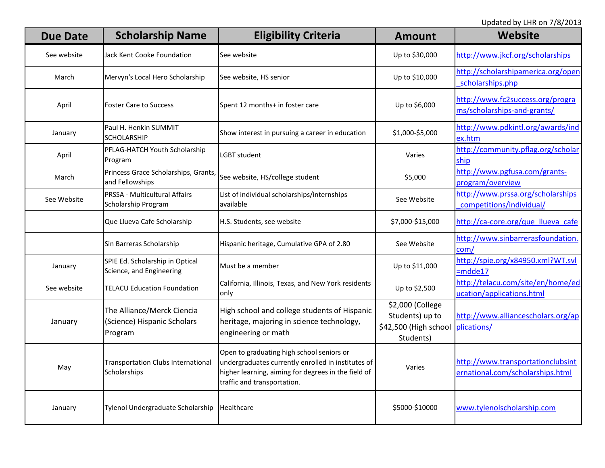Updated by LHR on 7/8/2013

| <b>Due Date</b> | <b>Scholarship Name</b>                                              | <b>Eligibility Criteria</b>                                                                                                                                                           | <b>Amount</b>                                                             | Website                                                               |
|-----------------|----------------------------------------------------------------------|---------------------------------------------------------------------------------------------------------------------------------------------------------------------------------------|---------------------------------------------------------------------------|-----------------------------------------------------------------------|
| See website     | Jack Kent Cooke Foundation                                           | See website                                                                                                                                                                           | Up to \$30,000                                                            | http://www.jkcf.org/scholarships                                      |
| March           | Mervyn's Local Hero Scholarship                                      | See website, HS senior                                                                                                                                                                | Up to \$10,000                                                            | http://scholarshipamerica.org/open<br>scholarships.php                |
| April           | <b>Foster Care to Success</b>                                        | Spent 12 months+ in foster care                                                                                                                                                       | Up to \$6,000                                                             | http://www.fc2success.org/progra<br>ms/scholarships-and-grants/       |
| January         | Paul H. Henkin SUMMIT<br><b>SCHOLARSHIP</b>                          | Show interest in pursuing a career in education                                                                                                                                       | \$1,000-\$5,000                                                           | http://www.pdkintl.org/awards/ind<br>ex.htm                           |
| April           | PFLAG-HATCH Youth Scholarship<br>Program                             | LGBT student                                                                                                                                                                          | Varies                                                                    | http://community.pflag.org/scholar<br>ship                            |
| March           | Princess Grace Scholarships, Grants,<br>and Fellowships              | See website, HS/college student                                                                                                                                                       | \$5,000                                                                   | http://www.pgfusa.com/grants-<br>program/overview                     |
| See Website     | PRSSA - Multicultural Affairs<br>Scholarship Program                 | List of individual scholarships/internships<br>available                                                                                                                              | See Website                                                               | http://www.prssa.org/scholarships<br>competitions/individual/         |
|                 | Que Llueva Cafe Scholarship                                          | H.S. Students, see website                                                                                                                                                            | \$7,000-\$15,000                                                          | http://ca-core.org/que llueva cafe                                    |
|                 | Sin Barreras Scholarship                                             | Hispanic heritage, Cumulative GPA of 2.80                                                                                                                                             | See Website                                                               | http://www.sinbarrerasfoundation.<br>com/                             |
| January         | SPIE Ed. Scholarship in Optical<br>Science, and Engineering          | Must be a member                                                                                                                                                                      | Up to \$11,000                                                            | http://spie.org/x84950.xml?WT.svl<br>$=$ mdde17                       |
| See website     | <b>TELACU Education Foundation</b>                                   | California, Illinois, Texas, and New York residents<br>only                                                                                                                           | Up to \$2,500                                                             | http://telacu.com/site/en/home/ed<br>ucation/applications.html        |
| January         | The Alliance/Merck Ciencia<br>(Science) Hispanic Scholars<br>Program | High school and college students of Hispanic<br>heritage, majoring in science technology,<br>engineering or math                                                                      | \$2,000 (College<br>Students) up to<br>\$42,500 (High school<br>Students) | http://www.alliancescholars.org/ap<br>plications/                     |
| May             | <b>Transportation Clubs International</b><br>Scholarships            | Open to graduating high school seniors or<br>undergraduates currently enrolled in institutes of<br>higher learning, aiming for degrees in the field of<br>traffic and transportation. | Varies                                                                    | http://www.transportationclubsint<br>ernational.com/scholarships.html |
| January         | Tylenol Undergraduate Scholarship                                    | Healthcare                                                                                                                                                                            | \$5000-\$10000                                                            | www.tylenolscholarship.com                                            |